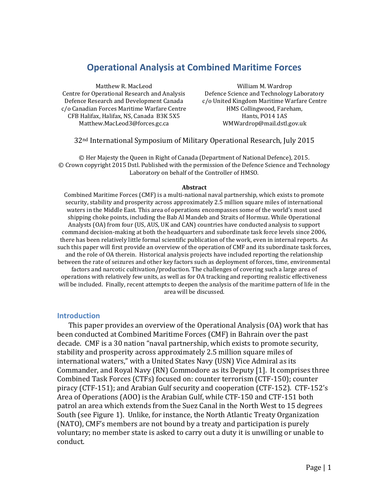# **Operational Analysis at Combined Maritime Forces**

Matthew R. MacLeod Centre for Operational Research and Analysis Defence Research and Development Canada c/o Canadian Forces Maritime Warfare Centre CFB Halifax, Halifax, NS, Canada B3K 5X5 Matthew.MacLeod3@forces.gc.ca

William M. Wardrop Defence Science and Technology Laboratory c/o United Kingdom Maritime Warfare Centre HMS Collingwood, Fareham, Hants, PO14 1AS WMWardrop@mail.dstl.gov.uk

#### 32nd International Symposium of Military Operational Research, July 2015

© Her Majesty the Queen in Right of Canada (Department of National Defence), 2015. © Crown copyright 2015 Dstl. Published with the permission of the Defence Science and Technology Laboratory on behalf of the Controller of HMSO.

#### **Abstract**

Combined Maritime Forces (CMF) is a multi-national naval partnership, which exists to promote security, stability and prosperity across approximately 2.5 million square miles of international waters in the Middle East. This area of operations encompasses some of the world's most used shipping choke points, including the Bab Al Mandeb and Straits of Hormuz. While Operational Analysts (OA) from four (US, AUS, UK and CAN) countries have conducted analysis to support command decision-making at both the headquarters and subordinate task force levels since 2006, there has been relatively little formal scientific publication of the work, even in internal reports. As such this paper will first provide an overview of the operation of CMF and its subordinate task forces, and the role of OA therein. Historical analysis projects have included reporting the relationship between the rate of seizures and other key factors such as deployment of forces, time, environmental factors and narcotic cultivation/production. The challenges of covering such a large area of operations with relatively few units, as well as for OA tracking and reporting realistic effectiveness will be included. Finally, recent attempts to deepen the analysis of the maritime pattern of life in the area will be discussed.

#### **Introduction**

This paper provides an overview of the Operational Analysis (OA) work that has been conducted at Combined Maritime Forces (CMF) in Bahrain over the past decade. CMF is a 30 nation "naval partnership, which exists to promote security, stability and prosperity across approximately 2.5 million square miles of international waters," with a United States Navy (USN) Vice Admiral as its Commander, and Royal Navy (RN) Commodore as its Deputy [1]. It comprises three Combined Task Forces (CTFs) focused on: counter terrorism (CTF-150); counter piracy (CTF-151); and Arabian Gulf security and cooperation (CTF-152). CTF-152's Area of Operations (AOO) is the Arabian Gulf, while CTF-150 and CTF-151 both patrol an area which extends from the Suez Canal in the North West to 15 degrees South (see [Figure 1\)](#page-1-0). Unlike, for instance, the North Atlantic Treaty Organization (NATO), CMF's members are not bound by a treaty and participation is purely voluntary; no member state is asked to carry out a duty it is unwilling or unable to conduct.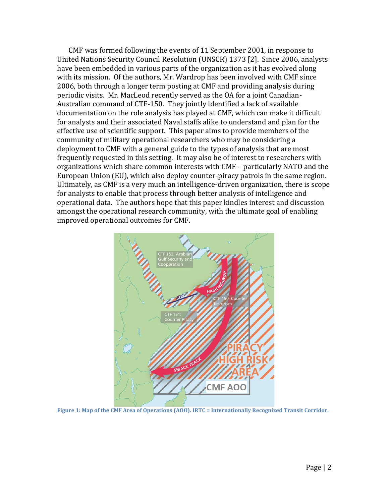CMF was formed following the events of 11 September 2001, in response to United Nations Security Council Resolution (UNSCR) 1373 [2]. Since 2006, analysts have been embedded in various parts of the organization as it has evolved along with its mission. Of the authors, Mr. Wardrop has been involved with CMF since 2006, both through a longer term posting at CMF and providing analysis during periodic visits. Mr. MacLeod recently served as the OA for a joint Canadian-Australian command of CTF-150. They jointly identified a lack of available documentation on the role analysis has played at CMF, which can make it difficult for analysts and their associated Naval staffs alike to understand and plan for the effective use of scientific support. This paper aims to provide members of the community of military operational researchers who may be considering a deployment to CMF with a general guide to the types of analysis that are most frequently requested in this setting. It may also be of interest to researchers with organizations which share common interests with CMF – particularly NATO and the European Union (EU), which also deploy counter-piracy patrols in the same region. Ultimately, as CMF is a very much an intelligence-driven organization, there is scope for analysts to enable that process through better analysis of intelligence and operational data. The authors hope that this paper kindles interest and discussion amongst the operational research community, with the ultimate goal of enabling improved operational outcomes for CMF.



<span id="page-1-0"></span>**Figure 1: Map of the CMF Area of Operations (AOO). IRTC = Internationally Recognized Transit Corridor.**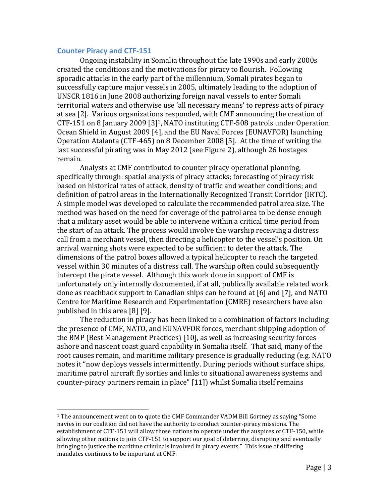#### **Counter Piracy and CTF-151**

l

Ongoing instability in Somalia throughout the late 1990s and early 2000s created the conditions and the motivations for piracy to flourish. Following sporadic attacks in the early part of the millennium, Somali pirates began to successfully capture major vessels in 2005, ultimately leading to the adoption of UNSCR 1816 in June 2008 authorizing foreign naval vessels to enter Somali territorial waters and otherwise use 'all necessary means' to repress acts of piracy at sea [2]. Various organizations responded, with CMF announcing the creation of CTF-151 on 8 January 2009 [3]1, NATO instituting CTF-508 patrols under Operation Ocean Shield in August 2009 [4], and the EU Naval Forces (EUNAVFOR) launching Operation Atalanta (CTF-465) on 8 December 2008 [5]. At the time of writing the last successful pirating was in May 2012 (see [Figure 2\)](#page-3-0), although 26 hostages remain.

Analysts at CMF contributed to counter piracy operational planning, specifically through: spatial analysis of piracy attacks; forecasting of piracy risk based on historical rates of attack, density of traffic and weather conditions; and definition of patrol areas in the Internationally Recognized Transit Corridor (IRTC). A simple model was developed to calculate the recommended patrol area size. The method was based on the need for coverage of the patrol area to be dense enough that a military asset would be able to intervene within a critical time period from the start of an attack. The process would involve the warship receiving a distress call from a merchant vessel, then directing a helicopter to the vessel's position. On arrival warning shots were expected to be sufficient to deter the attack. The dimensions of the patrol boxes allowed a typical helicopter to reach the targeted vessel within 30 minutes of a distress call. The warship often could subsequently intercept the pirate vessel. Although this work done in support of CMF is unfortunately only internally documented, if at all, publically available related work done as reachback support to Canadian ships can be found at [6] and [7], and NATO Centre for Maritime Research and Experimentation (CMRE) researchers have also published in this area [8] [9].

The reduction in piracy has been linked to a combination of factors including the presence of CMF, NATO, and EUNAVFOR forces, merchant shipping adoption of the BMP (Best Management Practices) [10], as well as increasing security forces ashore and nascent coast guard capability in Somalia itself. That said, many of the root causes remain, and maritime military presence is gradually reducing (e.g. NATO notes it "now deploys vessels intermittently. During periods without surface ships, maritime patrol aircraft fly sorties and links to situational awareness systems and counter-piracy partners remain in place" [11]) whilst Somalia itself remains

 $1$  The announcement went on to quote the CMF Commander VADM Bill Gortney as saying "Some navies in our coalition did not have the authority to conduct counter-piracy missions. The establishment of CTF-151 will allow those nations to operate under the auspices of CTF-150, while allowing other nations to join CTF-151 to support our goal of deterring, disrupting and eventually bringing to justice the maritime criminals involved in piracy events." This issue of differing mandates continues to be important at CMF.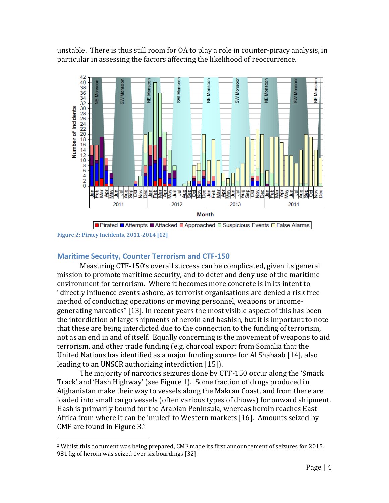unstable. There is thus still room for OA to play a role in counter-piracy analysis, in particular in assessing the factors affecting the likelihood of reoccurrence.



<span id="page-3-0"></span>**Figure 2: Piracy Incidents, 2011-2014 [12]**

 $\overline{a}$ 

## **Maritime Security, Counter Terrorism and CTF-150**

Measuring CTF-150's overall success can be complicated, given its general mission to promote maritime security, and to deter and deny use of the maritime environment for terrorism. Where it becomes more concrete is in its intent to "directly influence events ashore, as terrorist organisations are denied a risk free method of conducting operations or moving personnel, weapons or incomegenerating narcotics" [13]. In recent years the most visible aspect of this has been the interdiction of large shipments of heroin and hashish, but it is important to note that these are being interdicted due to the connection to the funding of terrorism, not as an end in and of itself. Equally concerning is the movement of weapons to aid terrorism, and other trade funding (e.g. charcoal export from Somalia that the United Nations has identified as a major funding source for Al Shabaab [14], also leading to an UNSCR authorizing interdiction [15]).

The majority of narcotics seizures done by CTF-150 occur along the 'Smack Track' and 'Hash Highway' (see [Figure 1\)](#page-1-0). Some fraction of drugs produced in Afghanistan make their way to vessels along the Makran Coast, and from there are loaded into small cargo vessels (often various types of dhows) for onward shipment. Hash is primarily bound for the Arabian Peninsula, whereas heroin reaches East Africa from where it can be 'muled' to Western markets [16]. Amounts seized by CMF are found in [Figure 3.](#page-4-0) 2

<sup>&</sup>lt;sup>2</sup> Whilst this document was being prepared, CMF made its first announcement of seizures for 2015. 981 kg of heroin was seized over six boardings [32].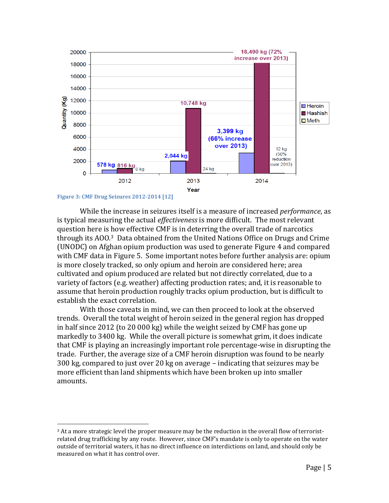

<span id="page-4-0"></span>While the increase in seizures itself is a measure of increased *performance*, as is typical measuring the actual *effectiveness* is more difficult. The most relevant question here is how effective CMF is in deterring the overall trade of narcotics through its AOO.3 Data obtained from the United Nations Office on Drugs and Crime (UNODC) on Afghan opium production was used to generate [Figure 4](#page-5-0) and compared with CMF data in [Figure 5.](#page-5-1) Some important notes before further analysis are: opium is more closely tracked, so only opium and heroin are considered here; area cultivated and opium produced are related but not directly correlated, due to a variety of factors (e.g. weather) affecting production rates; and, it is reasonable to assume that heroin production roughly tracks opium production, but is difficult to establish the exact correlation.

With those caveats in mind, we can then proceed to look at the observed trends. Overall the total weight of heroin seized in the general region has dropped in half since 2012 (to 20 000 kg) while the weight seized by CMF has gone up markedly to 3400 kg. While the overall picture is somewhat grim, it does indicate that CMF is playing an increasingly important role percentage-wise in disrupting the trade. Further, the average size of a CMF heroin disruption was found to be nearly 300 kg, compared to just over 20 kg on average – indicating that seizures may be more efficient than land shipments which have been broken up into smaller amounts.

 $\overline{a}$ 

<sup>&</sup>lt;sup>3</sup> At a more strategic level the proper measure may be the reduction in the overall flow of terroristrelated drug trafficking by any route. However, since CMF's mandate is only to operate on the water outside of territorial waters, it has no direct influence on interdictions on land, and should only be measured on what it has control over.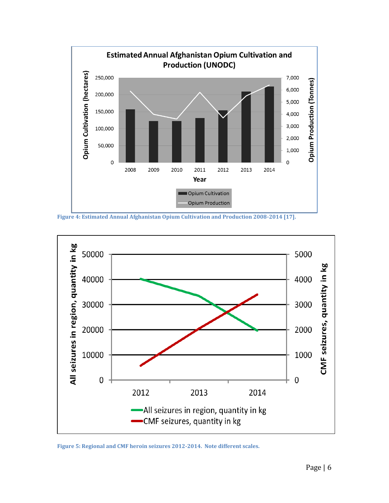

<span id="page-5-0"></span>**Figure 4: Estimated Annual Afghanistan Opium Cultivation and Production 2008-2014 [17].**



<span id="page-5-1"></span>**Figure 5: Regional and CMF heroin seizures 2012-2014. Note different scales.**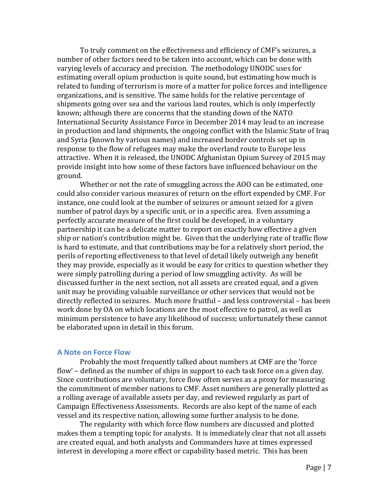To truly comment on the effectiveness and efficiency of CMF's seizures, a number of other factors need to be taken into account, which can be done with varying levels of accuracy and precision. The methodology UNODC uses for estimating overall opium production is quite sound, but estimating how much is related to funding of terrorism is more of a matter for police forces and intelligence organizations, and is sensitive. The same holds for the relative percentage of shipments going over sea and the various land routes, which is only imperfectly known; although there are concerns that the standing down of the NATO International Security Assistance Force in December 2014 may lead to an increase in production and land shipments, the ongoing conflict with the Islamic State of Iraq and Syria (known by various names) and increased border controls set up in response to the flow of refugees may make the overland route to Europe less attractive. When it is released, the UNODC Afghanistan Opium Survey of 2015 may provide insight into how some of these factors have influenced behaviour on the ground.

Whether or not the rate of smuggling across the AOO can be estimated, one could also consider various measures of return on the effort expended by CMF. For instance, one could look at the number of seizures or amount seized for a given number of patrol days by a specific unit, or in a specific area. Even assuming a perfectly accurate measure of the first could be developed, in a voluntary partnership it can be a delicate matter to report on exactly how effective a given ship or nation's contribution might be. Given that the underlying rate of traffic flow is hard to estimate, and that contributions may be for a relatively short period, the perils of reporting effectiveness to that level of detail likely outweigh any benefit they may provide, especially as it would be easy for critics to question whether they were simply patrolling during a period of low smuggling activity. As will be discussed further in the next section, not all assets are created equal, and a given unit may be providing valuable surveillance or other services that would not be directly reflected in seizures. Much more fruitful – and less controversial – has been work done by OA on which locations are the most effective to patrol, as well as minimum persistence to have any likelihood of success; unfortunately these cannot be elaborated upon in detail in this forum.

### **A Note on Force Flow**

Probably the most frequently talked about numbers at CMF are the 'force flow' – defined as the number of ships in support to each task force on a given day. Since contributions are voluntary, force flow often serves as a proxy for measuring the commitment of member nations to CMF. Asset numbers are generally plotted as a rolling average of available assets per day, and reviewed regularly as part of Campaign Effectiveness Assessments. Records are also kept of the name of each vessel and its respective nation, allowing some further analysis to be done.

The regularity with which force flow numbers are discussed and plotted makes them a tempting topic for analysts. It is immediately clear that not all assets are created equal, and both analysts and Commanders have at times expressed interest in developing a more effect or capability based metric. This has been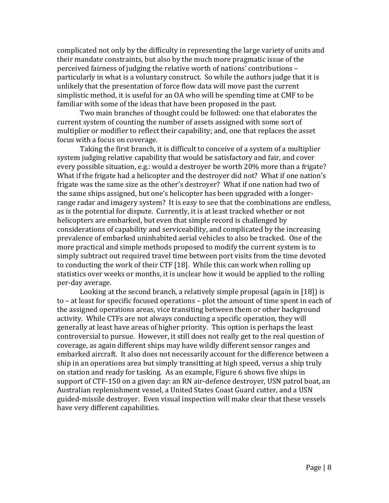complicated not only by the difficulty in representing the large variety of units and their mandate constraints, but also by the much more pragmatic issue of the perceived fairness of judging the relative worth of nations' contributions – particularly in what is a voluntary construct. So while the authors judge that it is unlikely that the presentation of force flow data will move past the current simplistic method, it is useful for an OA who will be spending time at CMF to be familiar with some of the ideas that have been proposed in the past.

Two main branches of thought could be followed: one that elaborates the current system of counting the number of assets assigned with some sort of multiplier or modifier to reflect their capability; and, one that replaces the asset focus with a focus on coverage.

Taking the first branch, it is difficult to conceive of a system of a multiplier system judging relative capability that would be satisfactory and fair, and cover every possible situation, e.g.: would a destroyer be worth 20% more than a frigate? What if the frigate had a helicopter and the destroyer did not? What if one nation's frigate was the same size as the other's destroyer? What if one nation had two of the same ships assigned, but one's helicopter has been upgraded with a longerrange radar and imagery system? It is easy to see that the combinations are endless, as is the potential for dispute. Currently, it is at least tracked whether or not helicopters are embarked, but even that simple record is challenged by considerations of capability and serviceability, and complicated by the increasing prevalence of embarked uninhabited aerial vehicles to also be tracked. One of the more practical and simple methods proposed to modify the current system is to simply subtract out required travel time between port visits from the time devoted to conducting the work of their CTF [18]. While this can work when rolling up statistics over weeks or months, it is unclear how it would be applied to the rolling per-day average.

Looking at the second branch, a relatively simple proposal (again in [18]) is to – at least for specific focused operations – plot the amount of time spent in each of the assigned operations areas, vice transiting between them or other background activity. While CTFs are not always conducting a specific operation, they will generally at least have areas of higher priority. This option is perhaps the least controversial to pursue. However, it still does not really get to the real question of coverage, as again different ships may have wildly different sensor ranges and embarked aircraft. It also does not necessarily account for the difference between a ship in an operations area but simply transitting at high speed, versus a ship truly on station and ready for tasking. As an example, [Figure 6](#page-8-0) shows five ships in support of CTF-150 on a given day: an RN air-defence destroyer, USN patrol boat, an Australian replenishment vessel, a United States Coast Guard cutter, and a USN guided-missile destroyer. Even visual inspection will make clear that these vessels have very different capabilities.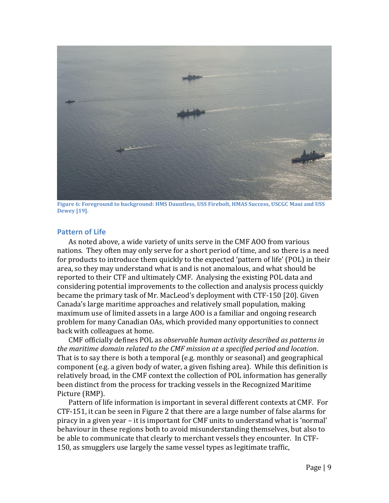

**Figure 6: Foreground to background: HMS Dauntless, USS Firebolt, HMAS Success, USCGC Maui and USS Dewey [19].**

### <span id="page-8-0"></span>**Pattern of Life**

As noted above, a wide variety of units serve in the CMF AOO from various nations. They often may only serve for a short period of time, and so there is a need for products to introduce them quickly to the expected 'pattern of life' (POL) in their area, so they may understand what is and is not anomalous, and what should be reported to their CTF and ultimately CMF. Analysing the existing POL data and considering potential improvements to the collection and analysis process quickly became the primary task of Mr. MacLeod's deployment with CTF-150 [20]. Given Canada's large maritime approaches and relatively small population, making maximum use of limited assets in a large AOO is a familiar and ongoing research problem for many Canadian OAs, which provided many opportunities to connect back with colleagues at home.

CMF officially defines POL as *observable human activity described as patterns in the maritime domain related to the CMF mission at a specified period and location*. That is to say there is both a temporal (e.g. monthly or seasonal) and geographical component (e.g. a given body of water, a given fishing area). While this definition is relatively broad, in the CMF context the collection of POL information has generally been distinct from the process for tracking vessels in the Recognized Maritime Picture (RMP).

Pattern of life information is important in several different contexts at CMF. For CTF-151, it can be seen in [Figure 2](#page-3-0) that there are a large number of false alarms for piracy in a given year – it is important for CMF units to understand what is 'normal' behaviour in these regions both to avoid misunderstanding themselves, but also to be able to communicate that clearly to merchant vessels they encounter. In CTF-150, as smugglers use largely the same vessel types as legitimate traffic,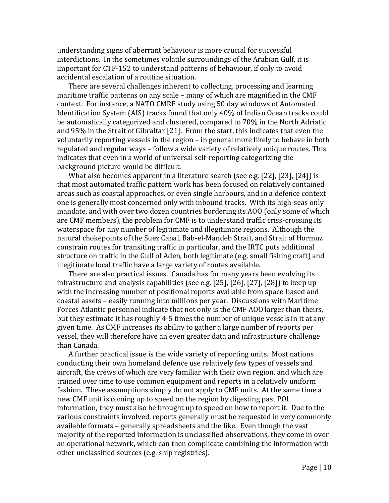understanding signs of aberrant behaviour is more crucial for successful interdictions. In the sometimes volatile surroundings of the Arabian Gulf, it is important for CTF-152 to understand patterns of behaviour, if only to avoid accidental escalation of a routine situation.

There are several challenges inherent to collecting, processing and learning maritime traffic patterns on any scale – many of which are magnified in the CMF context. For instance, a NATO CMRE study using 50 day windows of Automated Identification System (AIS) tracks found that only 40% of Indian Ocean tracks could be automatically categorized and clustered, compared to 70% in the North Adriatic and 95% in the Strait of Gibraltar [21]. From the start, this indicates that even the voluntarily reporting vessels in the region – in general more likely to behave in both regulated and regular ways – follow a wide variety of relatively unique routes. This indicates that even in a world of universal self-reporting categorizing the background picture would be difficult.

What also becomes apparent in a literature search (see e.g. [22], [23], [24]) is that most automated traffic pattern work has been focused on relatively contained areas such as coastal approaches, or even single harbours, and in a defence context one is generally most concerned only with inbound tracks. With its high-seas only mandate, and with over two dozen countries bordering its AOO (only some of which are CMF members), the problem for CMF is to understand traffic criss-crossing its waterspace for any number of legitimate and illegitimate regions. Although the natural chokepoints of the Suez Canal, Bab-el-Mandeb Strait, and Strait of Hormuz constrain routes for transiting traffic in particular, and the IRTC puts additional structure on traffic in the Gulf of Aden, both legitimate (e.g. small fishing craft) and illegitimate local traffic have a large variety of routes available.

There are also practical issues. Canada has for many years been evolving its infrastructure and analysis capabilities (see e.g. [25], [26], [27], [28]) to keep up with the increasing number of positional reports available from space-based and coastal assets – easily running into millions per year. Discussions with Maritime Forces Atlantic personnel indicate that not only is the CMF AOO larger than theirs, but they estimate it has roughly 4-5 times the number of unique vessels in it at any given time. As CMF increases its ability to gather a large number of reports per vessel, they will therefore have an even greater data and infrastructure challenge than Canada.

A further practical issue is the wide variety of reporting units. Most nations conducting their own homeland defence use relatively few types of vessels and aircraft, the crews of which are very familiar with their own region, and which are trained over time to use common equipment and reports in a relatively uniform fashion. These assumptions simply do not apply to CMF units. At the same time a new CMF unit is coming up to speed on the region by digesting past POL information, they must also be brought up to speed on how to report it. Due to the various constraints involved, reports generally must be requested in very commonly available formats – generally spreadsheets and the like. Even though the vast majority of the reported information is unclassified observations, they come in over an operational network, which can then complicate combining the information with other unclassified sources (e.g. ship registries).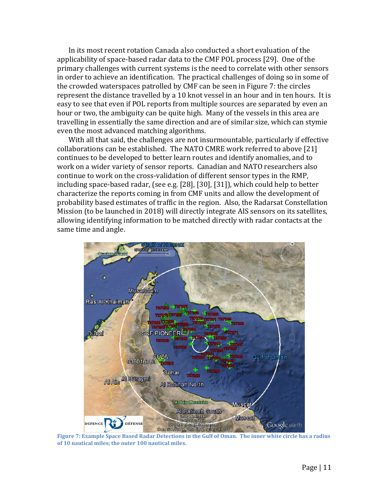In its most recent rotation Canada also conducted a short evaluation of the applicability of space-based radar data to the CMF POL process [29]. One of the primary challenges with current systems is the need to correlate with other sensors in order to achieve an identification. The practical challenges of doing so in some of the crowded waterspaces patrolled by CMF can be seen in [Figure 7:](#page-10-0) the circles represent the distance travelled by a 10 knot vessel in an hour and in ten hours. It is easy to see that even if POL reports from multiple sources are separated by even an hour or two, the ambiguity can be quite high. Many of the vessels in this area are travelling in essentially the same direction and are of similar size, which can stymie even the most advanced matching algorithms.

With all that said, the challenges are not insurmountable, particularly if effective collaborations can be established. The NATO CMRE work referred to above [21] continues to be developed to better learn routes and identify anomalies, and to work on a wider variety of sensor reports. Canadian and NATO researchers also continue to work on the cross-validation of different sensor types in the RMP, including space-based radar, (see e.g. [28], [30], [31]), which could help to better characterize the reports coming in from CMF units and allow the development of probability based estimates of traffic in the region. Also, the Radarsat Constellation Mission (to be launched in 2018) will directly integrate AIS sensors on its satellites, allowing identifying information to be matched directly with radar contacts at the same time and angle.

<span id="page-10-0"></span>

**Figure 7: Example Space Based Radar Detections in the Gulf of Oman. The inner white circle has a radius of 10 nautical miles; the outer 100 nautical miles.**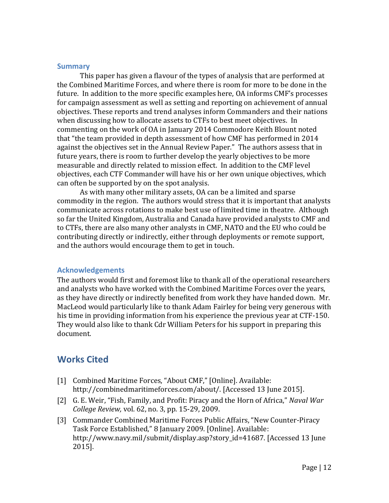#### **Summary**

This paper has given a flavour of the types of analysis that are performed at the Combined Maritime Forces, and where there is room for more to be done in the future. In addition to the more specific examples here, OA informs CMF's processes for campaign assessment as well as setting and reporting on achievement of annual objectives. These reports and trend analyses inform Commanders and their nations when discussing how to allocate assets to CTFs to best meet objectives. In commenting on the work of OA in January 2014 Commodore Keith Blount noted that "the team provided in depth assessment of how CMF has performed in 2014 against the objectives set in the Annual Review Paper." The authors assess that in future years, there is room to further develop the yearly objectives to be more measurable and directly related to mission effect. In addition to the CMF level objectives, each CTF Commander will have his or her own unique objectives, which can often be supported by on the spot analysis.

As with many other military assets, OA can be a limited and sparse commodity in the region. The authors would stress that it is important that analysts communicate across rotations to make best use of limited time in theatre. Although so far the United Kingdom, Australia and Canada have provided analysts to CMF and to CTFs, there are also many other analysts in CMF, NATO and the EU who could be contributing directly or indirectly, either through deployments or remote support, and the authors would encourage them to get in touch.

#### **Acknowledgements**

The authors would first and foremost like to thank all of the operational researchers and analysts who have worked with the Combined Maritime Forces over the years, as they have directly or indirectly benefited from work they have handed down. Mr. MacLeod would particularly like to thank Adam Fairley for being very generous with his time in providing information from his experience the previous year at CTF-150. They would also like to thank Cdr William Peters for his support in preparing this document.

# **Works Cited**

- [1] Combined Maritime Forces, "About CMF," [Online]. Available: http://combinedmaritimeforces.com/about/. [Accessed 13 June 2015].
- [2] G. E. Weir, "Fish, Family, and Profit: Piracy and the Horn of Africa," *Naval War College Review,* vol. 62, no. 3, pp. 15-29, 2009.
- [3] Commander Combined Maritime Forces Public Affairs, "New Counter-Piracy Task Force Established," 8 January 2009. [Online]. Available: http://www.navy.mil/submit/display.asp?story\_id=41687. [Accessed 13 June 2015].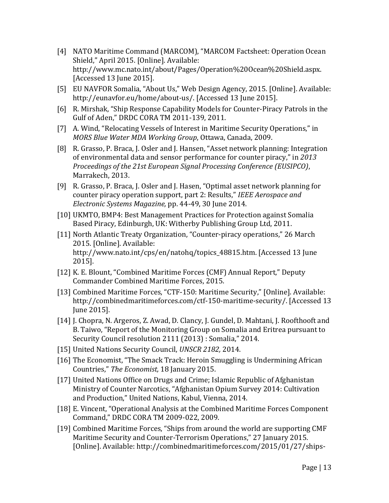- [4] NATO Maritime Command (MARCOM), "MARCOM Factsheet: Operation Ocean Shield," April 2015. [Online]. Available: http://www.mc.nato.int/about/Pages/Operation%20Ocean%20Shield.aspx. [Accessed 13 June 2015].
- [5] EU NAVFOR Somalia, "About Us," Web Design Agency, 2015. [Online]. Available: http://eunavfor.eu/home/about-us/. [Accessed 13 June 2015].
- [6] R. Mirshak, "Ship Response Capability Models for Counter-Piracy Patrols in the Gulf of Aden," DRDC CORA TM 2011-139, 2011.
- [7] A. Wind, "Relocating Vessels of Interest in Maritime Security Operations," in *MORS Blue Water MDA Working Group*, Ottawa, Canada, 2009.
- [8] R. Grasso, P. Braca, J. Osler and J. Hansen, "Asset network planning: Integration of environmental data and sensor performance for counter piracy," in *2013 Proceedings of the 21st European Signal Processing Conference (EUSIPCO)*, Marrakech, 2013.
- [9] R. Grasso, P. Braca, J. Osler and J. Hasen, "Optimal asset network planning for counter piracy operation support, part 2: Results," *IEEE Aerospace and Electronic Systems Magazine,* pp. 44-49, 30 June 2014.
- [10] UKMTO, BMP4: Best Management Practices for Protection against Somalia Based Piracy, Edinburgh, UK: Witherby Publishing Group Ltd, 2011.
- [11] North Atlantic Treaty Organization, "Counter-piracy operations," 26 March 2015. [Online]. Available: http://www.nato.int/cps/en/natohq/topics\_48815.htm. [Accessed 13 June 2015].
- [12] K. E. Blount, "Combined Maritime Forces (CMF) Annual Report," Deputy Commander Combined Maritime Forces, 2015.
- [13] Combined Maritime Forces, "CTF-150: Maritime Security," [Online]. Available: http://combinedmaritimeforces.com/ctf-150-maritime-security/. [Accessed 13 June 2015].
- [14] J. Chopra, N. Argeros, Z. Awad, D. Clancy, J. Gundel, D. Mahtani, J. Roofthooft and B. Taiwo, "Report of the Monitoring Group on Somalia and Eritrea pursuant to Security Council resolution 2111 (2013) : Somalia," 2014.
- [15] United Nations Security Council, *UNSCR 2182,* 2014.
- [16] The Economist, "The Smack Track: Heroin Smuggling is Undermining African Countries," *The Economist,* 18 January 2015.
- [17] United Nations Office on Drugs and Crime; Islamic Republic of Afghanistan Ministry of Counter Narcotics, "Afghanistan Opium Survey 2014: Cultivation and Production," United Nations, Kabul, Vienna, 2014.
- [18] E. Vincent, "Operational Analysis at the Combined Maritime Forces Component Command," DRDC CORA TM 2009-022, 2009.
- [19] Combined Maritime Forces, "Ships from around the world are supporting CMF Maritime Security and Counter-Terrorism Operations," 27 January 2015. [Online]. Available: http://combinedmaritimeforces.com/2015/01/27/ships-